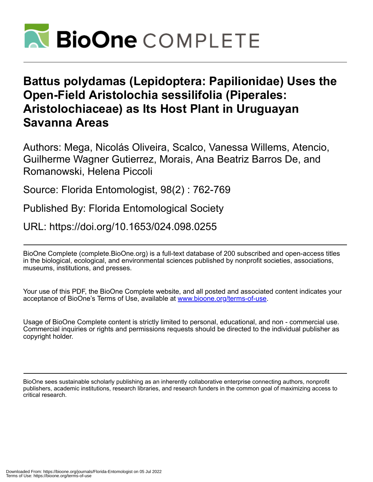

# **Battus polydamas (Lepidoptera: Papilionidae) Uses the Open-Field Aristolochia sessilifolia (Piperales: Aristolochiaceae) as Its Host Plant in Uruguayan Savanna Areas**

Authors: Mega, Nicolás Oliveira, Scalco, Vanessa Willems, Atencio, Guilherme Wagner Gutierrez, Morais, Ana Beatriz Barros De, and Romanowski, Helena Piccoli

Source: Florida Entomologist, 98(2) : 762-769

Published By: Florida Entomological Society

URL: https://doi.org/10.1653/024.098.0255

BioOne Complete (complete.BioOne.org) is a full-text database of 200 subscribed and open-access titles in the biological, ecological, and environmental sciences published by nonprofit societies, associations, museums, institutions, and presses.

Your use of this PDF, the BioOne Complete website, and all posted and associated content indicates your acceptance of BioOne's Terms of Use, available at www.bioone.org/terms-of-use.

Usage of BioOne Complete content is strictly limited to personal, educational, and non - commercial use. Commercial inquiries or rights and permissions requests should be directed to the individual publisher as copyright holder.

BioOne sees sustainable scholarly publishing as an inherently collaborative enterprise connecting authors, nonprofit publishers, academic institutions, research libraries, and research funders in the common goal of maximizing access to critical research.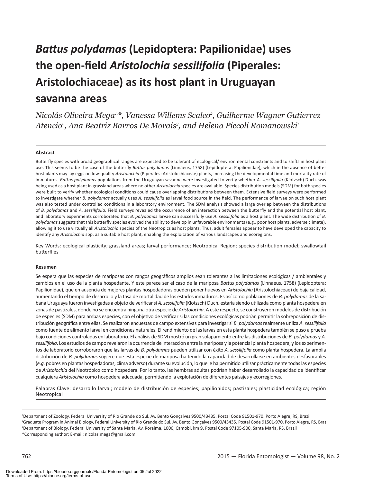# *Battus polydamas* **(Lepidoptera: Papilionidae) uses the open-field** *Aristolochia sessilifolia* **(Piperales: Aristolochiaceae) as its host plant in Uruguayan savanna areas**

*Nicolás Oliveira Mega1,\*, Vanessa Willems Scalco2 , Guilherme Wagner Gutierrez* Atencio<sup>2</sup>, Ana Beatriz Barros De Morais<sup>3</sup>, and Helena Piccoli Romanowski<sup>1</sup>

#### **Abstract**

Butterfly species with broad geographical ranges are expected to be tolerant of ecological/ environmental constraints and to shifts in host plant use. This seems to be the case of the butterfly *Battus polydamas* (Linnaeus, 1758) (Lepidoptera: Papilionidae)*,* which in the absence of better host plants may lay eggs on low-quality *Aristolochia* (Piperales: Aristolochiaceae) plants, increasing the developmental time and mortality rate of immatures. *Battus polydamas* populations from the Uruguayan savanna were investigated to verify whether *A. sessilifolia* (Klotzsch) Duch. was being used as a host plant in grassland areas where no other *Aristolochia* species are available. Species distribution models (SDM) for both species were built to verify whether ecological conditions could cause overlapping distributions between them. Extensive field surveys were performed to investigate whether *B. polydamas* actually uses *A. sessilifolia* as larval food source in the field. The performance of larvae on such host plant was also tested under controlled conditions in a laboratory environment. The SDM analysis showed a large overlap between the distributions of *B. polydamas* and *A. sessilifolia*. Field surveys revealed the occurrence of an interaction between the butterfly and the potential host plant, and laboratory experiments corroborated that *B. polydamas* larvae can successfully use *A. sessilifolia* as a host plant. The wide distribution of *B. polydamas* suggests that this butterfly species evolved the ability to develop in unfavorable environments (e.g., poor host plants, adverse climate), allowing it to use virtually all *Aristolochia* species of the Neotropics as host plants. Thus, adult females appear to have developed the capacity to identify any *Aristolochia* spp. as a suitable host plant, enabling the exploitation of various landscapes and ecoregions.

Key Words: ecological plasticity; grassland areas; larval performance; Neotropical Region; species distribution model; swallowtail butterflies

#### **Resumen**

Se espera que las especies de mariposas con rangos geográficos amplios sean tolerantes a las limitaciones ecológicas / ambientales y cambios en el uso de la planta hospedante. Y este parece ser el caso de la mariposa *Battus polydamas* (Linnaeus, 1758) (Lepidoptera: Papilionidae), que en ausencia de mejores plantas hospedadoras pueden poner huevos en *Aristolochia* (Aristolochiaceae) de baja calidad, aumentando el tiempo de desarrollo y la tasa de mortalidad de los estados inmaduros. Es así como poblaciones de *B. polydamas* de la sabana Uruguaya fueron investigadas a objeto de verificar si *A. sessilifolia* (Klotzsch) Duch. estaría siendo utilizada como planta hospedera en zonas de pastizales, donde no se encuentra ninguna otra especie de *Aristolochia*. A este respecto, se construyeron modelos de distribución de especies (SDM) para ambas especies, con el objetivo de verificar si las condiciones ecológicas podrían permitir la sobreposición de distribución geográfica entre ellas. Se realizaron encuestas de campo extensivas para investigar si *B. polydamas* realmente utiliza *A. sessilifolia* como fuente de alimento larval en condiciones naturales. El rendimiento de las larvas en esta planta hospedera también se puso a prueba bajo condiciones controladas en laboratorio. El análisis de SDM mostró un gran solapamiento entre las distribuciones de *B. polydamas* y *A. sessilifolia*. Los estudios de campo revelaron la ocurrencia de interacción entre la mariposa y la potencial planta hospedera, y los experimentos de laboratorio corroboraron que las larvas de *B. polydamas* pueden utilizar con éxito *A. sessilifolia* como planta hospedera. La amplia distribución de *B. polydamas* sugiere que esta especie de mariposa ha tenido la capacidad de desarrollarse en ambientes desfavorables (*e.g.* pobres en plantas hospedadoras, clima adverso) durante su evolución, lo que le ha permitido utilizar prácticamente todas las especies de *Aristolochia* del Neotrópico como hospedera. Por lo tanto, las hembras adultas podrían haber desarrollado la capacidad de identificar cualquiera *Aristolochia* como hospedera adecuada, permitiendo la explotación de diferentes paisajes y ecorregiones.

Palabras Clave: desarrollo larval; modelo de distribución de especies; papilionidos; pastizales; plasticidad ecológica; región Neotropical

<sup>1</sup> Department of Zoology, Federal University of Rio Grande do Sul. Av. Bento Gonçalves 9500/43435. Postal Code 91501-970. Porto Alegre, RS, Brazil 2 Graduate Program in Animal Biology, Federal University of Rio Grande do Sul. Av. Bento Gonçalves 9500/43435. Postal Code 91501-970, Porto Alegre, RS, Brazil 3 Department of Biology, Federal University of Santa Maria. Av. Roraima, 1000, Camobi, km 9, Postal Code 97105-900, Santa Maria, RS, Brazil \*Corresponding author; E-mail: nicolas.mega@gmail.com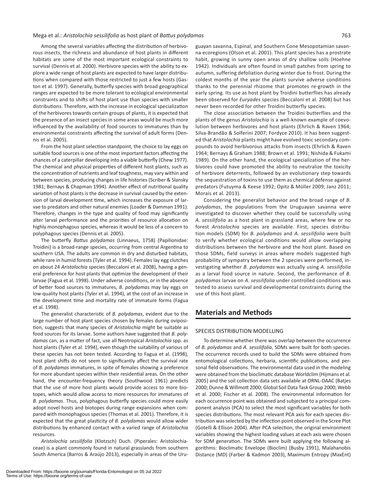Among the several variables affecting the distribution of herbivorous insects, the richness and abundance of host plants in different habitats are some of the most important ecological constraints to survival (Dennis et al*.* 2000). Herbivore species with the ability to explore a wide range of host plants are expected to have larger distributions when compared with those restricted to just a few hosts (Gaston et al*.* 1997). Generally, butterfly species with broad geographical ranges are expected to be more tolerant to ecological environmental constraints and to shifts of host plant use than species with smaller distributions. Therefore, with the increase in ecological specialization of the herbivores towards certain groups of plants, it is expected that the presence of an insect species in some areas would be much more influenced by the availability of food sources to immatures than by environmental constraints affecting the survival of adult forms (Dennis et al. 2005).

From the host plant selection standpoint, the choice to lay eggs on suitable food sources is one of the most important factors affecting the chances of a caterpillar developing into a viable butterfly (Chew 1977). The chemical and physical properties of different host plants, such as the concentration of nutrients and leaf toughness, may vary within and between species, producing changes in life histories (Scriber & Slansky 1981; Bernays & Chapman 1994). Another effect of nutritional quality variation of host plants is the decrease in survival caused by the extension of larval development time, which increases the exposure of larvae to predators and other natural enemies (Loader & Damman 1991). Therefore, changes in the type and quality of food may significantly alter larval performance and the priorities of resource allocation on highly monophagous species, whereas it would be less of a concern to polyphagous species (Dennis et al*.* 2005).

The butterfly *Battus polydamas* (Linnaeus, 1758) (Papilionidae: Troidini) is a broad-range species, occurring from central Argentina to southern USA. The adults are common in dry and disturbed habitats, while rare in humid forests (Tyler et al*.* 1994). Females lay egg clutches on about 24 *Aristolochia* species (Beccaloni et al*.* 2008), having a general preference for host plants that optimize the development of their larvae (Fagua et al*.* 1998). Under adverse conditions, or in the absence of better food sources to immatures, *B. polydamas* may lay eggs on low-quality host plants (Tyler et al*.* 1994), at the cost of an increase in the development time and mortality rate of immature forms (Fagua et al*.* 1998).

The generalist characteristic of *B. polydamas*, evident due to the large number of host plant species chosen by females during oviposition, suggests that many species of *Aristolochia* might be suitable as food sources for its larvae. Some authors have suggested that *B. polydamas* can, as a matter of fact, use all Neotropical *Aristolochia* spp. as host plants (Tyler et al*.* 1994), even though the suitability of various of these species has not been tested. According to Fagua et al*.* (1998), host plant shifts do not seem to significantly affect the survival rate of *B. polydamas* immatures, in spite of females showing a preference for more abundant species within their residential areas*.* On the other hand, the encounter-frequency theory (Southwood 1961) predicts that the use of more host plants would provide access to more biotopes, which would allow access to more resources for immatures of *B. polydamas*. Thus, polyphagous butterfly species could more easily adopt novel hosts and biotopes during range expansions when compared with monophagous species (Thomas et al*.* 2001). Therefore, it is expected that the great plasticity of *B. polydamas* would allow wider distributions by enhanced contact with a varied range of *Aristolochia*  resources.

*Aristolochia sessilifolia* (Klotzsch) Duch. (Piperales: Aristolochiaceae) is a plant commonly found in natural grasslands from southern South America (Barros & Araújo 2013), especially in areas of the Uru-

guayan savanna, Espinal, and Southern Cone Mesopotamian savanna ecoregions (Olson et al*.* 2001). This plant species has a prostrate habit, growing in sunny open areas of dry shallow soils (Hoehne 1942). Individuals are often found in small patches from spring to autumn, suffering defoliation during winter due to frost. During the coldest months of the year the plants survive adverse conditions thanks to the perennial rhizome that promotes re-growth in the early spring. Its use as host plant by Troidini butterflies has already been observed for *Euryades* species (Beccaloni et al*.* 2008) but has never been recorded for other Troidini butterfly species.

The close association between the Troidini butterflies and the plants of the genus *Aristolochia* is a well-known example of coevolution between herbivores and host plants (Ehrlich & Raven 1964; Silva-Brandão & Solferini 2007; Fordyce 2010). It has been suggested that *Aristolochia* plants might have evolved toxic secondary compounds to avoid herbivorous attacks from insects (Ehrlich & Raven 1964; Bernays & Graham 1988; Brown et al*.* 1991; Nishida & Fukami 1989). On the other hand, the ecological specialization of the herbivores could have promoted the ability to neutralize the toxicity of herbivore deterrents, followed by an evolutionary step towards the sequestration of toxins to use them as chemical defense against predators (Futuyma & Keese 1992; Opitz & Müller 2009; Janz 2011; Morais et al*.* 2013).

Considering the generalist behavior and the broad range of *B. polydamas*, the populations from the Uruguayan savanna were investigated to discover whether they could be successfully using *A. sessilifolia* as a host plant in grassland areas, where few or no forest *Aristolochia* species are available. First, species distribution models (SDM) for *B. polydamas* and *A. sessilifolia* were built to verify whether ecological conditions would allow overlapping distributions between the herbivore and the host plant. Based on those SDMs, field surveys in areas where models suggested high probability of sympatry between the 2 species were performed, investigating whether *B. polydamas* was actually using *A. sessilifolia* as a larval food source in nature. Second, the performance of *B. polydamas* larvae on *A. sessilifolia* under controlled conditions was tested to assess survival and developmental constraints during the use of this host plant.

## **Materials and Methods**

#### SPECIES DISTRIBUTION MODELLING

To determine whether there was overlap between the occurrence of *B. polydamas* and *A. sessilifolia*, SDMs were built for both species. The occurrence records used to build the SDMs were obtained from entomological collections, herbaria, scientific publications, and personal field observations. The environmental data used in the modeling were obtained from the bioclimatic database Worldclim (Hijmans et al*.* 2005) and the soil collection data sets available at ORNL-DAAC (Batjes 2000; Dunne & Willmott 2000; Global Soil Data Task Group 2000; Webb et al*.* 2000; Fischer et al*.* 2008). The environmental information for each occurrence point was obtained and subjected to a principal component analysis (PCA) to select the most significant variables for both species distributions. The most relevant PCA axis for each species distribution was selected by the inflection point observed in the Scree Plot (Gotelli & Ellison 2004). After PCA selection, the original environment variables showing the highest loading values at each axis were chosen for SDM generation. The SDMs were built applying the following algorithms: Bioclimatic Envelope (Bioclim) (Busby 1991), Malahanobis Distance (MD) (Farber & Kadmon 2003), Maximum Entropy (MaxEnt)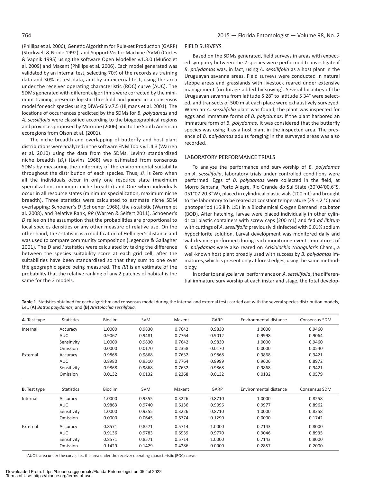(Phillips et al*.* 2006), Genetic Algorithm for Rule-set Production (GARP) (Stockwell & Noble 1992), and Support Vector Machine (SVM) (Cortes & Vapnik 1995) using the software Open Modeller v.1.3.0 (Muñoz et al*.* 2009) and Maxent (Phillips et al*.* 2006). Each model generated was validated by an internal test, selecting 70% of the records as training data and 30% as test data, and by an external test, using the area under the receiver operating characteristic (ROC) curve (AUC). The SDMs generated with different algorithms were corrected by the minimum training presence logistic threshold and joined in a consensus model for each species using DIVA-GIS v.7.5 (Hijmans et al*.* 2001). The locations of occurrences predicted by the SDMs for *B. polydamas* and *A. sessilifolia* were classified according to the biogeographical regions and provinces proposed by Morrone (2006) and to the South American ecoregions from Olson et al. (2001).

The niche breadth and overlapping of butterfly and host plant distributions were analyzed in the software ENM Tools v.1.4.3 (Warren et al*.* 2010) using the data from the SDMs. Levin's standardized niche breadth  $(\dot{B}_\lambda)$  (Levins 1968) was estimated from consensus SDMs by measuring the uniformity of the environmental suitability throughout the distribution of each species. Thus,  $\dot{B}_\lambda$  is Zero when all the individuals occur in only one resource state (maximum specialization, minimum niche breadth) and One when individuals occur in all resource states (minimum specialization, maximum niche breadth). Three statistics were calculated to estimate niche SDM overlapping: Schoener's *D* (Schoener 1968), the *I*-statistic (Warren et al. 2008), and Relative Rank, *RR* (Warren & Seifert 2011). Schoener's *D* relies on the assumption that the probabilities are proportional to local species densities or any other measure of relative use. On the other hand, the *I*-statistic is a modification of Hellinger's distance and was used to compare community composition (Legendre & Gallagher 2001). The *D* and *I* statistics were calculated by taking the difference between the species suitability score at each grid cell, after the suitabilities have been standardized so that they sum to one over the geographic space being measured. The *RR* is an estimate of the probability that the relative ranking of any 2 patches of habitat is the same for the 2 models.

#### FIELD SURVEYS

Based on the SDMs generated, field surveys in areas with expected sympatry between the 2 species were performed to investigate if *B. polydamas* was, in fact, using *A. sessilifolia* as a host plant in the Uruguayan savanna areas. Field surveys were conducted in natural steppe areas and grasslands with livestock reared under extensive management (no forage added by sowing). Several localities of the Uruguayan savanna from latitude S 28° to latitude S 34° were selected, and transects of 500 m at each place were exhaustively surveyed. When an *A. sessilifolia* plant was found, the plant was inspected for eggs and immature forms of *B. polydamas*. If the plant harbored an immature form of *B. polydamas,* it was considered that the butterfly species was using it as a host plant in the inspected area. The presence of *B. polydamas* adults foraging in the surveyed areas was also recorded.

#### LABORATORY PERFORMANCE TRIALS

To analyze the performance and survivorship of *B. polydamas* on *A. sessilifolia*, laboratory trials under controlled conditions were performed. Eggs of *B. polydamas* were collected in the field, at Morro Santana, Porto Alegre, Rio Grande do Sul State (30°04'00.6"S, 051°07'20.3"W), placed in cylindrical plastic vials (200 mL) and brought to the laboratory to be reared at constant temperature (25  $\pm$  2 °C) and photoperiod (16:8 h L:D) in a Biochemical Oxygen Demand incubator (BOD). After hatching, larvae were placed individually in other cylindrical plastic containers with screw caps (200 mL) and fed *ad libitum* with cuttings of *A. sessilifolia* previously disinfected with 0.01% sodium hypochlorite solution. Larval development was monitored daily and vial cleaning performed during each monitoring event. Immatures of *B. polydamas* were also reared on *Arislolochia triangularis* Cham., a well-known host plant broadly used with success by *B. polydamas* immatures, which is present only at forest edges, using the same methodology.

In order to analyze larval performance on *A. sessilifolia*, the differential immature survivorship at each instar and stage, the total develop-

Table 1. Statistics obtained for each algorithm and consensus model during the internal and external tests carried out with the several species distribution models, i.e., (**A)** *Battus polydamas,* and **(B)** *Aristolochia sessilifolia.*

| A. Test type        | Statistics  | <b>Bioclim</b> | SVM    | Maxent | GARP   | Environmental distance | Consensus SDM        |
|---------------------|-------------|----------------|--------|--------|--------|------------------------|----------------------|
| Internal            | Accuracy    | 1.0000         | 0.9830 | 0.7642 | 0.9830 | 1.0000                 | 0.9460               |
|                     | <b>AUC</b>  | 0.9067         | 0.9481 | 0.7764 | 0.9012 | 0.9998                 | 0.9064               |
|                     | Sensitivity | 1.0000         | 0.9830 | 0.7642 | 0.9830 | 1.0000                 | 0.9460               |
|                     | Omission    | 0.0000         | 0.0170 | 0.2358 | 0.0170 | 0.0000                 | 0.0540               |
| External            | Accuracy    | 0.9868         | 0.9868 | 0.7632 | 0.9868 | 0.9868                 | 0.9421               |
|                     | <b>AUC</b>  | 0.8980         | 0.9510 | 0.7764 | 0.8999 | 0.9606                 | 0.8972               |
|                     | Sensitivity | 0.9868         | 0.9868 | 0.7632 | 0.9868 | 0.9868                 | 0.9421               |
|                     | Omission    | 0.0132         | 0.0132 | 0.2368 | 0.0132 | 0.0132                 | 0.0579               |
|                     |             |                |        |        |        |                        |                      |
| <b>B.</b> Test type | Statistics  | Bioclim        | SVM    | Maxent | GARP   | Environmental distance | <b>Consensus SDM</b> |
| Internal            | Accuracy    | 1.0000         | 0.9355 | 0.3226 | 0.8710 | 1.0000                 | 0.8258               |
|                     | <b>AUC</b>  | 0.9863         | 0.9740 | 0.6136 | 0.9096 | 0.9977                 | 0.8962               |
|                     | Sensitivity | 1.0000         | 0.9355 | 0.3226 | 0.8710 | 1.0000                 | 0.8258               |
|                     | Omission    | 0.0000         | 0.0645 | 0.6774 | 0.1290 | 0.0000                 | 0.1742               |
| External            | Accuracy    | 0.8571         | 0.8571 | 0.5714 | 1.0000 | 0.7143                 | 0.8000               |
|                     | <b>AUC</b>  | 0.9136         | 0.9783 | 0.6939 | 0.9770 | 0.9046                 | 0.8935               |
|                     | Sensitivity | 0.8571         | 0.8571 | 0.5714 | 1.0000 | 0.7143                 | 0.8000               |
|                     | Omission    | 0.1429         | 0.1429 | 0.4286 | 0.0000 | 0.2857                 | 0.2000               |

AUC is area under the curve, i.e., the area under the receiver operating characteristic (ROC) curve.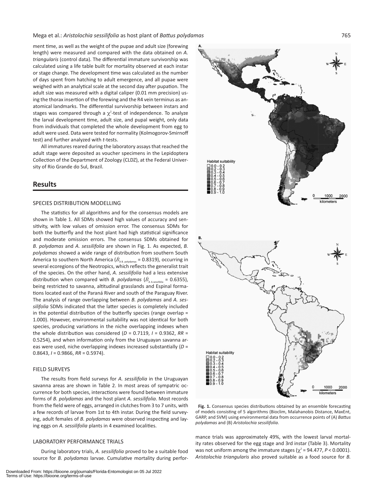ment time, as well as the weight of the pupae and adult size (forewing length) were measured and compared with the data obtained on *A. triangularis* (control data). The differential immature survivorship was calculated using a life table built for mortality observed at each instar or stage change. The development time was calculated as the number of days spent from hatching to adult emergence, and all pupae were weighed with an analytical scale at the second day after pupation. The adult size was measured with a digital caliper (0.01 mm precision) using the thorax insertion of the forewing and the R4 vein terminus as anatomical landmarks. The differential survivorship between instars and stages was compared through a  $\chi^2$ -test of independence. To analyze the larval development time, adult size, and pupal weight, only data from individuals that completed the whole development from egg to adult were used. Data were tested for normality (Kolmogorov-Smirnoff test) and further analyzed with *t*-tests.

All immatures reared during the laboratory assays that reached the adult stage were deposited as voucher specimens in the Lepidoptera Collection of the Department of Zoology (CLDZ), at the Federal University of Rio Grande do Sul, Brazil.

### **Results**

#### SPECIES DISTRIBUTION MODELLING

The statistics for all algorithms and for the consensus models are shown in Table 1. All SDMs showed high values of accuracy and sensitivity, with low values of omission error. The consensus SDMs for both the butterfly and the host plant had high statistical significance and moderate omission errors. The consensus SDMs obtained for *B. polydamas* and *A. sessilifolia* are shown in Fig. 1. As expected, *B. polydamas* showed a wide range of distribution from southern South America to southern North America ( $\ddot{B}_{AB, polydams}$  = 0.8319), occurring in several ecoregions of the Neotropics, which reflects the generalist trait of the species. On the other hand, *A. sessilifolia* had a less extensive distribution when compared with *B. polydamas* ( $\dot{B}_{\text{A A. seesifolla}} = 0.6355$ ), being restricted to savanna, altitudinal grasslands and Espinal formations located east of the Paraná River and south of the Paraguay River. The analysis of range overlapping between *B. polydamas* and *A. sessilifolia* SDMs indicated that the latter species is completely included in the potential distribution of the butterfly species (range overlap = 1.000). However, environmental suitability was not identical for both species, producing variations in the niche overlapping indexes when the whole distribution was considered (*D* = 0.7119, *I* = 0.9362, *RR* = 0.5254), and when information only from the Uruguayan savanna areas were used, niche overlapping indexes increased substantially (*D* = 0.8643, *I* = 0.9866, *RR* = 0.5974).

#### FIELD SURVEYS

The results from field surveys for *A. sessilifolia* in the Uruguayan savanna areas are shown in Table 2. In most areas of sympatric occurrence for both species, interactions were found between immature forms of *B. polydamas* and the host plant *A. sessilifolia*. Most records from the field were of eggs, arranged in clutches from 3 to 7 units, with a few records of larvae from 1st to 4th instar. During the field surveying, adult females of *B. polydamas* were observed inspecting and laying eggs on *A. sessilifolia* plants in 4 examined localities.

#### LABORATORY PERFORMANCE TRIALS

During laboratory trials, *A. sessilifolia* proved to be a suitable food source for *B. polydamas* larvae. Cumulative mortality during perfor-



Fig. 1. Consensus species distributions obtained by an ensemble forecasting of models consisting of 5 algorithms (Bioclim, Malahanobis Distance, MaxEnt, GARP, and SVM) using environmental data from occurrence points of (A) *Battus polydamas* and (B) *Aristolochia sessilifolia*.

mance trials was approximately 49%, with the lowest larval mortality rates observed for the egg stage and 3rd instar (Table 3). Mortality was not uniform among the immature stages ( $\chi^2$  = 94.477, *P* < 0.0001). *Aristolochia triangularis* also proved suitable as a food source for *B.*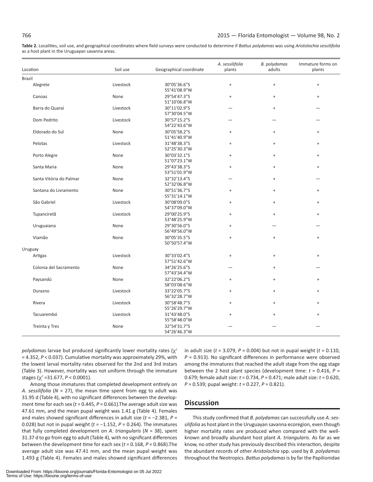**Table 2.** Localities, soil use, and geographical coordinates where field surveys were conducted to determine if *Battus polydamas* was using *Aristolochia sessilifolia*  as a host plant in the Uruguayan savanna areas.

| Location                | Soil use  | Geographical coordinate      | A. sessilifolia<br>plants        | B. polydamas<br>adults           | Immature forms on<br>plants      |
|-------------------------|-----------|------------------------------|----------------------------------|----------------------------------|----------------------------------|
| <b>Brazil</b>           |           |                              |                                  |                                  |                                  |
| Alegrete                | Livestock | 30°05'36.6"S<br>55°41'08.9"W | $\ddot{}$                        | $\begin{array}{c} + \end{array}$ | $\ddot{}$                        |
| Canoas                  | None      | 29°54'47.3"S<br>51°10'06.8"W | $^{+}$                           | $\qquad \qquad +$                | $\begin{array}{c} + \end{array}$ |
| Barra do Quaraí         | Livestock | 30°11'02.9"S<br>57°30'04.5"W |                                  | $^{+}$                           |                                  |
| Dom Pedrito             | Livestock | 30°57'15.2"S<br>54°22'43.6"W |                                  |                                  |                                  |
| Eldorado do Sul         | None      | 30°05'58.2"S<br>51°41'40.9"W | $^{+}$                           | $+$                              | $+$                              |
| Pelotas                 | Livestock | 31°48'38.3"S<br>52°25'30.3"W | $^{+}$                           | $^{+}$                           | $^{+}$                           |
| Porto Alegre            | None      | 30°03'32.1"S<br>51°07'23.1"W | $^{+}$                           | $\begin{array}{c} + \end{array}$ | $\ddot{}$                        |
| Santa Maria             | None      | 29°43'38.3"S<br>53°51'01.9"W | $\begin{array}{c} + \end{array}$ | $+$                              | $\begin{array}{c} + \end{array}$ |
| Santa Vitória do Palmar | None      | 32°32'13.4"S<br>52°32'06.8"W |                                  | $+$                              |                                  |
| Santana do Livramento   | None      | 30°51'36.7"S<br>55°31'14.1"W | $^{+}$                           | $\ddot{}$                        | $\begin{array}{c} + \end{array}$ |
| São Gabriel             | Livestock | 30°08'09.0"S<br>54°37'09.0"W | $^{+}$                           | $+$                              | $\begin{array}{c} + \end{array}$ |
| Tupanciretã             | Livestock | 29°00'25.9"S<br>53°48'25.9"W | $^{+}$                           | $^{+}$                           | $\ddot{}$                        |
| Uruguaiana              | None      | 29°30'56.0"S<br>56°49'56.0"W | $^{+}$                           |                                  |                                  |
| Viamão                  | None      | 30°05'35.5"S<br>50°50'57.4"W | $^{+}$                           | $+$                              | $\begin{array}{c} + \end{array}$ |
| Uruguay                 |           |                              |                                  |                                  |                                  |
| Artigas                 | Livestock | 30°33'02.4"S<br>57°51'42.6"W | $\, +$                           | $\begin{array}{c} + \end{array}$ | $\begin{array}{c} + \end{array}$ |
| Colonia del Sacramento  | None      | 34°26'25.6"S<br>57°43'34.4"W |                                  | $\qquad \qquad +$                |                                  |
| Paysandú                | None      | 32°22'06.2"S<br>58°03'08.6"W | $^{+}$                           | $+$                              | $^{+}$                           |
| Durazno                 | Livestock | 33°22'05.7"S<br>56°32'28.7"W | $^{+}$                           | $^{+}$                           | $^{+}$                           |
| Rivera                  | Livestock | 30°58'48.7"S<br>55°26'29.7"W | $^{+}$                           | $\qquad \qquad +$                | $^{+}$                           |
| Tacuarembó              | Livestock | 31°43'48.0"S<br>55°58'48.0"W | $^{+}$                           | $\ddot{}$                        | $^{+}$                           |
| Treinta y Tres          | None      | 32°54'31.7"S<br>54°26'46.3"W |                                  |                                  |                                  |

*polydamas* larvae but produced significantly lower mortality rates (χ<sup>2</sup> = 4.352, *P* < 0.037). Cumulative mortality was approximately 29%, with the lowest larval mortality rates observed for the 2nd and 3rd instars (Table 3). However, mortality was not uniform through the immature stages ( $\chi^2$  =31.677, *P* < 0.0001).

Among those immatures that completed development entirely on *A. sessilifolia* (*N* = 27), the mean time spent from egg to adult was 31.95 d (Table 4), with no significant differences between the development time for each sex (t = 0.445, P = 0.661). The average adult size was 47.61 mm, and the mean pupal weight was 1.41 g (Table 4). Females and males showed significant differences in adult size (*t* = −2.381, *P* = 0.028) but not in pupal weight (*t* = −1.152, *P* = 0.264). The immatures that fully completed development on *A. triangularis* (*N* = 38), spent 31.37 d to go from egg to adult (Table 4), with no significant differences between the development time for each sex (*t* = 0.168, *P* = 0.868).The average adult size was 47.41 mm, and the mean pupal weight was 1.493 g (Table 4). Females and males showed significant differences

in adult size (*t* = 3.079, *P* = 0.004) but not in pupal weight (*t* = 0.110, *P* = 0.913). No significant differences in performance were observed among the immatures that reached the adult stage from the egg stage between the 2 host plant species (development time: *t* = 0.416, *P* = 0.679; female adult size: *t* = 0.734, *P* = 0.471; male adult size: *t* = 0.620, *P* = 0.539; pupal weight: *t* = 0.227, *P* = 0.821).

# **Discussion**

This study confirmed that *B. polydamas* can successfully use *A. sessilifolia* as host plant in the Uruguayan savanna ecoregion, even though higher mortality rates are produced when compared with the wellknown and broadly abundant host plant *A. triangularis*. As far as we know, no other study has previously described this interaction, despite the abundant records of other *Aristolochia* spp. used by *B. polydamas* throughout the Neotropics. *Battus polydamas* is by far the Papilionidae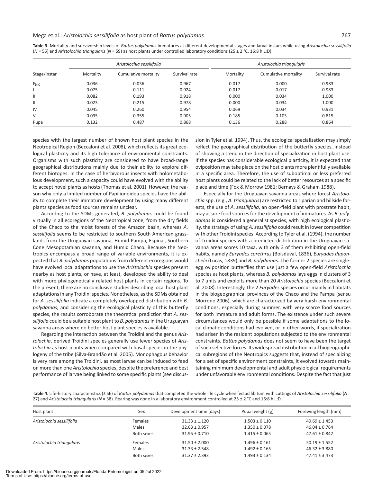|                | Aristolochia sessilifolia |                      |               | Aristolochia triangularis |                      |               |  |
|----------------|---------------------------|----------------------|---------------|---------------------------|----------------------|---------------|--|
|                |                           |                      |               |                           |                      |               |  |
| Stage/instar   | Mortality                 | Cumulative mortality | Survival rate | Mortality                 | Cumulative mortality | Survival rate |  |
| Egg            | 0.036                     | 0.036                | 0.967         | 0.017                     | 0.000                | 0.983         |  |
|                | 0.075                     | 0.111                | 0.924         | 0.017                     | 0.017                | 0.983         |  |
| $\mathbf{H}$   | 0.082                     | 0.193                | 0.918         | 0.000                     | 0.034                | 1.000         |  |
| $\mathbf{III}$ | 0.023                     | 0.215                | 0.978         | 0.000                     | 0.034                | 1.000         |  |
| IV             | 0.045                     | 0.260                | 0.954         | 0.069                     | 0.034                | 0.931         |  |
| V              | 0.095                     | 0.355                | 0.905         | 0.185                     | 0.103                | 0.815         |  |
| Pupa           | 0.132                     | 0.487                | 0.868         | 0.136                     | 0.288                | 0.864         |  |

**Table 3.** Mortality and survivorship levels of *Battus polydamas* immatures at different developmental stages and larval instars while using *Aristolochia sessilifolia* (*N* = 55) and *Aristolochia triangularis* (*N* = 59) as host plants under controlled laboratory conditions (25 ± 2 °C, 16:8 h L:D).

species with the largest number of known host plant species in the Neotropical Region (Beccaloni et al*.* 2008), which reflects its great ecological plasticity and its high tolerance of environmental constraints. Organisms with such plasticity are considered to have broad-range geographical distributions mainly due to their ability to explore different biotopes. In the case of herbivorous insects with holometabolous development, such a capacity could have evolved with the ability to accept novel plants as hosts (Thomas et al*.* 2001). However, the reason why only a limited number of Papilionoidea species have the ability to complete their immature development by using many different plants species as food sources remains unclear.

According to the SDMs generated, *B. polydamas* could be found virtually in all ecoregions of the Neotropical zone, from the dry fields of the Chaco to the moist forests of the Amazon basin, whereas *A. sessilifolia* seems to be restricted to southern South American grasslands from the Uruguayan savanna, Humid Pampa, Espinal, Southern Cone Mesopotamian savanna, and Humid Chaco. Because the Neotropics encompass a broad range of variable environments, it is expected that *B. polydamas* populations from different ecoregions would have evolved local adaptations to use the *Aristolochia* species present nearby as host plants, or have, at least, developed the ability to deal with more phylogenetically related host plants in certain regions. To the present, there are no conclusive studies describing local host plant adaptations in any Troidini species. Nonetheless, as the SDMs obtained for *A. sessilifolia* indicate a completely overlapped distribution with *B. polydamas*, and considering the ecological plasticity of this butterfly species, the results corroborate the theoretical prediction that *A. sessilifolia* could be a suitable host plant to *B. polydamas* in the Uruguayan savanna areas where no better host plant species is available.

Regarding the interaction between the Troidini and the genus *Aristolochia*, derived Troidini species generally use fewer species of *Aristolochia* as host plants when compared with basal species in the phylogeny of the tribe (Silva-Brandão et al*.* 2005). Monophagous behavior is very rare among the Troidini, as most larvae can be induced to feed on more than one *Aristolochia* species, despite the preference and best performance of larvae being linked to some specific plants (see discussion in Tyler et al*.* 1994). Thus, the ecological specialization may simply reflect the geographical distribution of the butterfly species, instead of showing a trend in the direction of specialization in host plant use. If the species has considerable ecological plasticity, it is expected that oviposition may take place on the host plants more plentifully available in a specific area. Therefore, the use of suboptimal or less preferred host plants could be related to the lack of better resources at a specific place and time (Fox & Morrow 1981; Bernays & Graham 1988).

Especially for the Uruguayan savanna areas where forest *Aristolochia* spp. (e.g., *A. triangularis*) are restricted to riparian and hillside forests, the use of *A. sessilifolia*, an open-field plant with prostrate habit, may assure food sources for the development of immatures. As *B. polydamas* is considered a generalist species, with high ecological plasticity, the strategy of using *A. sessilifolia* could result in lower competition with other Troidini species. According to Tyler et al. (1994), the number of Troidini species with a predicted distribution in the Uruguayan savanna areas scores 10 taxa, with only 3 of them exhibiting open-field habits, namely *Euryades corethrus* (Boisduval, 1836), *Euryades duponchelii* (Lucas, 1839) and *B. polydamas.* The former 2 species are singleegg oviposition butterflies that use just a few open-field *Aristolochia* species as host plants, whereas *B. polydamas* lays eggs in clusters of 3 to 7 units and exploits more than 20 *Aristolochia* species (Beccaloni et al*.* 2008). Interestingly, the 2 *Euryades* species occur mainly in habitats in the biogeographical provinces of the Chaco and the Pampa (sensu Morrone 2006), which are characterized by very harsh environmental conditions, especially during summer, with very scarce food sources for both immature and adult forms. The existence under such severe circumstances would only be possible if some adaptations to the local climatic conditions had evolved, or in other words, if specialization had arisen in the resident populations subjected to the environmental constraints. *Battus polydamas* does not seem to have been the target of such selective forces. Its widespread distribution in all biogeographical subregions of the Neotropics suggests that, instead of specializing for a set of specific environment constraints, it evolved towards maintaining minimum developmental and adult physiological requirements under unfavorable environmental conditions. Despite the fact that just

**Table 4**. Life-history characteristics (± SE) of *Battus polydamas* that completed the whole life cycle when fed ad libitum with cuttings of *Aristolochia sessilifolia* (*N* = 27) and *Aristolochia triangularis* (*N* = 38)*.* Rearing was done in a laboratory environment controlled at 25 ± 2 °C and 16:8 h L:D.

| Host plant                | Sex        | Development time (days) | Pupal weight (g)  | Forewing length (mm) |
|---------------------------|------------|-------------------------|-------------------|----------------------|
| Aristolochia sessilifolia | Females    | $31.33 \pm 1.120$       | $1.503 \pm 0.110$ | $49.69 \pm 1.453$    |
|                           | Males      | $32.63 \pm 0.957$       | $1.350 \pm 0.078$ | $46.04 \pm 0.764$    |
|                           | Both sexes | $31.95 \pm 0.710$       | $1.415 \pm 0.065$ | $47.61 \pm 0.842$    |
| Aristolochia triangularis | Females    | $31.50 \pm 2.000$       | $1.496 \pm 0.161$ | $50.19 \pm 1.552$    |
|                           | Males      | $31.33 \pm 2.548$       | $1.492 \pm 0.165$ | $46.32 \pm 3.880$    |
|                           | Both sexes | $31.37 \pm 2.393$       | $1.493 \pm 0.134$ | $47.41 \pm 3.473$    |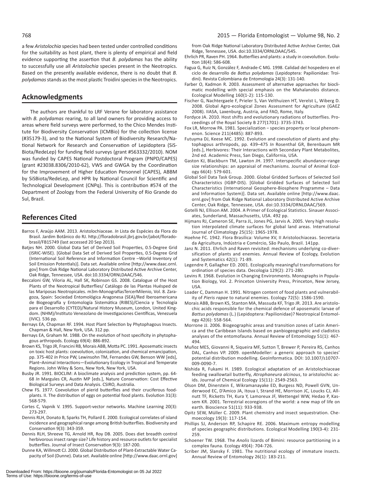a few *Aristolochia* species had been tested under controlled conditions for the suitability as host plant, there is plenty of empirical and field evidence supporting the assertion that *B. polydamas* has the ability to successfully use all *Aristolochia* species present in the Neotropics. Based on the presently available evidence, there is no doubt that *B. polydamas* stands as the most plastic Troidini species in the Neotropics.

### **Acknowledgments**

The authors are thankful to LRF Verane for laboratory assistance with *B. polydamas* rearing, to all land owners for providing access to areas where field surveys were performed, to the Chico Mendes Institute for Biodiversity Conservation (ICMBio) for the collection license (#35179-3), and to the National System of Biodiversity Research/National Network for Research and Conservation of Lepidoptera (SiS-Biota/RedeLep) for funding field surveys (grant #563332/2010). NOM was funded by CAPES National Postdoctoral Program (PNPD/CAPES) (grant #23038.8306/2010-62), VWS and GWGA by the Coordination for the Improvement of Higher Education Personnel (CAPES), ABBM by SiSBiota/RedeLep, and HPR by National Council for Scientific and Technological Development (CNPq). This is contribution #574 of the Department of Zoology from the Federal University of Rio Grande do Sul, Brazil.

# **References Cited**

- Barros F, Araújo AAM. 2013. Aristolochiaceae. *In* Lista de Espécies da Flora do Brasil. Jardim Botânico do RJ. http://floradobrasil.jbrj.gov.br/jabot/floradobrasil/FB15749 (last accessed 20 Sep 2013).
- Batjes NH. 2000. Global Data Set of Derived Soil Properties, 0.5-Degree Grid (ISRIC-WISE). [Global Data Set of Derived Soil Properties, 0.5-Degree Grid (International Soil Reference and Information Centre –World Inventory of Soil Emission Potentials)]. Data set. Available online [http://www.daac.ornl. gov] from Oak Ridge National Laboratory Distributed Active Archive Center, Oak Ridge, Tennessee, USA. doi:10.3334/ORNLDAAC/546.
- Beccaloni GW, Viloria AL, Hall SK, Robinson GS. 2008. Catalogue of the Host Plants of the Neotropical Butterflies/ Catálogo de las Plantas Huésped de las Mariposas Neotropicales. m3m-MonografíasTercerMilenio, Vol. 8. Zaragoza, Spain: Sociedad Entomológica Aragonesa (SEA)/Red Iberoamericana de Biogeografía y Entomología Sistemática (RIBES)/Ciencia y Tecnología para el Desarrollo (CYTED)/Natural History Museum, London, United Kingdom. (NHM)/Instituto Venezolano de Investigaciones Científicas, Venezuela (IVIC). 536 pp.
- Bernays EA, Chapman RF. 1994. Host Plant Selection by Phytophagous Insects. Chapman & Hall, New York, USA. 312 pp.
- Bernays EA, Graham M. 1988. On the evolution of host specificity in phytophagous arthropods. Ecology 69(4): 886-892.
- Brown KS, Trigo JR, Francini RB, Morais ABB, Motta PC. 1991. Aposematic insects on toxic host plants: coevolution, colonization, and chemical emancipation, pp. 375-402 *In* Price PW, Lewinsohn TM, Fernandes GW, Benson WW [eds], Plant–Animal Interactions—Evolutionary Ecology in Tropical and Temperate Regions. John Wiley & Sons, New York, New York, USA.
- Busby JR. 1991. BIOCLIM: A bioclimate analysis and prediction system, pp. 64- 68 *In* Margules CR, Austin MP [eds.], Nature Conservation: Cost Effective Biological Surveys and Data Analysis. CSIRO, Australia.
- Chew FS. 1977. Coevolution of pierid butterflies and their cruciferous foodplants. II. The distribution of eggs on potential food plants. Evolution 31(3): 568-579.
- Cortes C, Vapnik V. 1995. Support-vector networks. Machine Learning 20(3): 273-297.
- Dennis RLH, Donato B, Sparks TH, Pollard E. 2000. Ecological correlates of island incidence and geographical range among British butterflies. Biodiversity and Conservation 9(3): 343-359.
- Dennis RLH, Shreeve TG, Arnold HR, Roy DB. 2005. Does diet breadth control herbivorous insect range size? Life history and resource outlets for specialist butterflies. Journal of Insect Conservation 9(3): 187-200.
- Dunne KA, Willmott CJ. 2000. Global Distribution of Plant-Extractable Water Capacity of Soil (Dunne). Data set. Available online [http://www.daac.ornl.gov]

from Oak Ridge National Laboratory Distributed Active Archive Center, Oak Ridge, Tennessee, USA. doi:10.3334/ORNLDAAC/545.

- Ehrlich PR, Raven PH. 1964. Butterflies and plants: a study in coevolution. Evolution 18(4): 586-608.
- Fagua G, Ruiz N, González F, Andrade-C MG. 1998. Calidad del hospedero en el ciclo de desarrollo de *Battus polydamas* (Lepidoptera: Papilionidae: Troidini). Revista Colombiana de Entomologia 24(3): 131-140.
- Farber O, Kadmon R. 2003. Assessment of alternative approaches for bioclimatic modelling with special emphasis on the Mahalanobis distance. Ecological Modelling 160(1-2): 115-130.
- Fischer G, Nachtergaele F, Prieler S, Van Velthuizen HT, Verelst L, Wiberg D. 2008. Global Agro-ecological Zones Assessment for Agriculture (GAEZ 2008). IIASA, Laxenburg, Austria, and FAO, Rome, Italy.
- Fordyce JA. 2010. Host shifts and evolutionary radiations of butterflies. Proceedings of the Royal Society B 277(1701): 3735-3743.
- Fox LR, Morrow PA. 1981. Specialization − species property or local phenomenon. Science 211(4485): 887-893.
- Futuyma DJ, Keese MC. 1992. Evolution and coevolution of plants and phytophagous arthropods, pp. 439–475 *In* Rosenthal GR, Berenbaum MR [eds.], Herbivores: Their Interactions with Secondary Plant Metabolites, 2nd ed. Academic Press, San Diego, California, USA.
- Gaston KJ, Blackburn TM, Lawton JH. 1997. Interspecific abundance–range size relationships: an appraisal of mechanisms. Journal of Animal Ecology 66(4): 579-601.
- Global Soil Data Task Group. 2000. Global Gridded Surfaces of Selected Soil Characteristics (IGBP-DIS). [Global Gridded Surfaces of Selected Soil Characteristics (International Geosphere-Biosphere Programme – Data and Information System)]. Data set. Available online [http://www.daac. ornl.gov] from Oak Ridge National Laboratory Distributed Active Archive Center, Oak Ridge, Tennessee, USA. doi:10.3334/ORNLDAAC/569.
- Gotelli NJ, Ellison AM. 2004. A Primer of Ecological Statistics. Sinauer Associates, Sunderland, Massachusetts, USA. 492 pp.
- Hijmans RJ, Cameron SE, Parra JL, Jones PG, Jarvis A. 2005. Very high resolution interpolated climate surfaces for global land areas. International Journal of Climatology 25(15): 1965-1978.
- Hoehne FC. 1942. Flora Brasilica: Volume XV, II Aristolochiaceas. Secretaria da Agricultura, Indústria e Comércio, São Paulo, Brazil. 141pp.
- Janz N. 2011. Ehrlich and Raven revisited: mechanisms underlying co-diversification of plants and enemies. Annual Review of Ecology, Evolution and Systematics 42(1): 71-89.
- Legendre P, Gallagher ED. 2001. Ecologically meaningful transformations for ordination of species data. Oecologia 129(2): 271-280.
- Levins R. 1968. Evolution in Changing Environments. Monographs in Population Biology, Vol. 2. Princeton University Press, Princeton, New Jersey, USA.
- Loader C, Damman H. 1991. Nitrogen content of food plants and vulnerability of *Pieris rapae* to natural enemies. Ecology 72(5): 1586-1590.
- Morais ABB, Brown KS, Stanton MA, Massuda KF, Trigo JR. 2013. Are aristolochic acids responsible for the chemical defence of aposematic larvae of *Battus polydamas* (L.) (Lepidoptera: Papilionidae)? Neotropical Entomology 42(6): 558-564.
- Morrone JJ. 2006. Biogeographic areas and transition zones of Latin America and the Caribbean Islands based on panbiogeographic and cladistics analyses of the entomofauna. Annual Review of Entomology 51(1): 467- 494.
- Muñoz MES, Giovanni R, Siqueira MF, Sutton T, Brewer P, Pereira RS, Canhos DAL, Canhos VP. 2009. openModeller: a generic approach to species' potential distribution modelling. GeoInformatica. DOI: 10.1007/s10707- 009-0090-7.
- Nishida R, Fukami H. 1989. Ecological adaptation of an Aristolochiaceae feeding swallowtail butterfly, *Atrophaneura alcinous*, to aristolochic acids. Journal of Chemical Ecology 15(11): 2549-2563.
- Olson DM, Dinerstein E, Wikramanayake ED, Burgess ND, Powell GVN, Underwood EC, D'Amico JA, Itoua I, Strand HE, Morrison JC, Loucks CJ, Allnutt TF, Ricketts TH, Kura Y, Lamoreux JF, Wettengel WW, Hedao P, Kassem KR. 2001. Terrestrial ecoregions of the world: a new map of life on earth. Bioscience 51(11): 933-938.
- Opitz SEW, Müller C. 2009. Plant chemistry and insect sequestration. Chemoecology 19(3): 117-154.
- Phillips SJ, Anderson RP, Schapire RE. 2006. Maximum entropy modelling of species geographic distributions. Ecological Modelling 190(3-4): 231- 259.
- Schoener TW. 1968. The *Anolis* lizards of Bimini: resource partitioning in a complex fauna. Ecology 49(4): 704-726.
- Scriber JM, Slansky F. 1981. The nutritional ecology of immature insects. Annual Review of Entomology 26(1): 183-211.